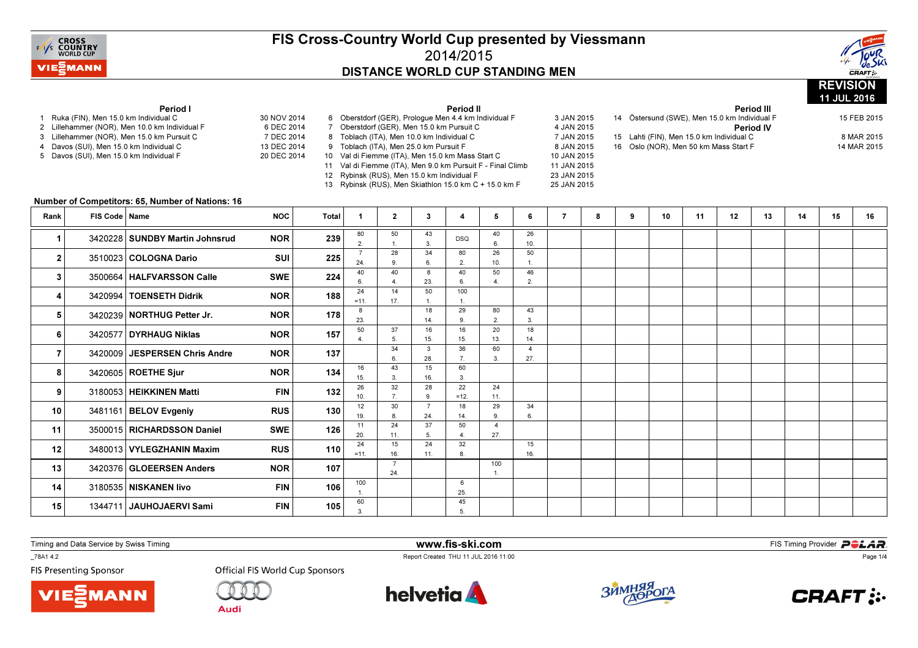



### 11 JUL 2016Period I1 Ruka (FIN), Men 15.0 km Individual C 30 NOV 2014 6 DFC 2014 2 Lillehammer (NOR), Men 10.0 km Individual F 7 DEC 2014 3 Lillehammer (NOR), Men 15.0 km Pursuit C 13 DEC 2014 4 Davos (SUI), Men 15.0 km Individual C 20 DEC 2014 5 Davos (SUI), Men 15.0 km Individual F Period II6 Oberstdorf (GER), Prologue Men 4.4 km Individual F 3 JAN 2015 4 JAN 2015 7 Oberstdorf (GER), Men 15.0 km Pursuit C 7 JAN 2015 8 Toblach (ITA), Men 10.0 km Individual C 8 JAN 2015 9 Toblach (ITA), Men 25.0 km Pursuit F 10 JAN 2015 10 Val di Fiemme (ITA), Men 15.0 km Mass Start C 11 JAN 2015 11 Val di Fiemme (ITA), Men 9.0 km Pursuit F - Final Climb 23 JAN 2015 12 Rybinsk (RUS), Men 15.0 km Individual F 25 JAN 2015 13 Rybinsk (RUS), Men Skiathlon 15.0 km C + 15.0 km F Period III <sup>14</sup> Östersund (SWE), Men 15.0 km Individual F 15 FEB 2015Period IV15 Lahti (FIN), Men 15.0 km Individual C 8 MAR 2015 14 MAR 2015 16 Oslo (NOR), Men 50 km Mass Start F Number of Competitors: 65, Number of Nations: 16Rank FIS Code Name e NOC | Total | 1 | 2 | 3 | 4 | 5 | 6 | 7 | 8 | 9 | 10 | 11 | 12 | 13 | 14 | 15 | 16 80 2.50 1. 2843 3. DSQ 40 6.2610. 1 3420228 SUNDBY Martin Johnsrud NOR 239  $\frac{2}{2}$  1.  $\frac{1}{3}$  1  $\frac{1}{3}$  1  $\frac{1}{6}$  1  $\frac{1}{10}$ 7 24. 9. 4034 6.80 2.26 10.50 $\overline{1}$ . 2. 3510023 COLOGNA Dario SUI 225  $\frac{1}{24}$  5  $\frac{1}{8}$   $\frac{1}{8}$   $\frac{1}{2}$   $\frac{1}{2}$   $\frac{1}{2}$   $\frac{1}{2}$   $\frac{1}{2}$   $\frac{1}{2}$   $\frac{1}{2}$ 40 6. 4.8 23.40 6.50 4.46 $\overline{2}$ 3 3500664 HALFVARSSON Calle SWE 224  $\frac{24}{6}$   $\frac{24}{6}$   $\frac{2}{4}$   $\frac{23}{23}$   $\frac{2}{6}$   $\frac{4}{4}$   $\frac{2}{2}$  $313500664$  HALFVARSSON Calle SWE <sup>224</sup> 24 $=11.$ 14 17.50 1.100 $\overline{1}$ 1.<sup>4</sup> <sup>3420994</sup> TOENSETH Didrik NOR <sup>188</sup> 8 23. 5018 14. 1629 9. 1680 2.43 $3<sub>l</sub>$ **5** 3420239 NORTHUG Petter Jr. NOR 178  $\begin{array}{|c|c|c|c|c|}\n\hline\n\text{3420239} & \text{NORTHUG Petter Jr.} \\
\hline\n\end{array}$  $5$ | 3420239 4.37 5. 34 15. 3 15. 3620 13. 6018 $14.$ 14.<sup>6</sup>6 3420577 DYRHAUG Niklas NOR 157 6. 43 28. 15 7. 60 3. $\overline{4}$ 27 **27.** 3420009 JESPERSEN Chris Andre NOR 137  $\begin{array}{|c|c|c|c|c|}\n\hline\n\text{3420009} & \text{JESPERSEN Chris Andre} \\
\hline\n\text{55} & \text{28} & \text{7} & \text{38} \\
\hline\n\end{array}$ 16 15. 26 3. 32 16. 28 $3.$ **8.** 3420605 ROETHE Sjur NOR 134  $\frac{1}{15}$  3.  $\frac{1}{16}$  3 10. $\frac{1}{12}$  7. 30 9.22 =12.24  $11.$ 9 3180053 HEIKKINEN Matti FIN 132  $\frac{1}{10}$  7.  $\frac{5}{9}$  =12.  $\frac{11}{11}$  19. 8.24 7 24. $\overline{37}$ 18 14. 5029 9.34 $6.$ 10 3481161 BELOV Evgeniy RUS 130  $\frac{1}{19}$  8  $\frac{24}{24}$  14  $\frac{9}{2}$  6 10 3481161 BELOV Evgeniy RUS RUS 130 11 20. $\frac{1}{24}$  11. 15 5. $\frac{1}{24}$  4. 32427 11 3500015 RICHARDSSON Daniel SWE 126 20 11 5. 4. 27. 11 3500015  $=11.$  16. 11. 8.1516. 12 3480013 VYLEGZHANIN Maxim RUS 110  $\frac{1}{21}$  16. 11. 8. 7 24.100 $\overline{1}$ . 13 3420376 GLOEERSEN Anders NOR 107  $\begin{array}{|c|c|c|c|c|}\n\hline\n\text{3420376} & \text{GLOEERSEN Anders} \\
\hline\n\end{array}$ 100 1. 60 $\overline{6}$ 25 14 3180535 | NISKANEN livo FIN | 106 |  $\frac{1}{1}$  | | | 25 14 3180535 NISKANEN Iivo FIN FIN 106 4515 1344711 JAUHOJAERVI Sami FIN 105 3 FIN 105

Timing and Data Service by Swiss Timing

\_78A1 4.2

**FIS Presenting Sponsor** 





**helvetia** 

3.

www.fis-ski.com

 $\overline{5}$ 

Report Created THU 11 JUL 2016 11:00



**m**<br>FIS Timing Provider<br>Is 11:00



Page 1/4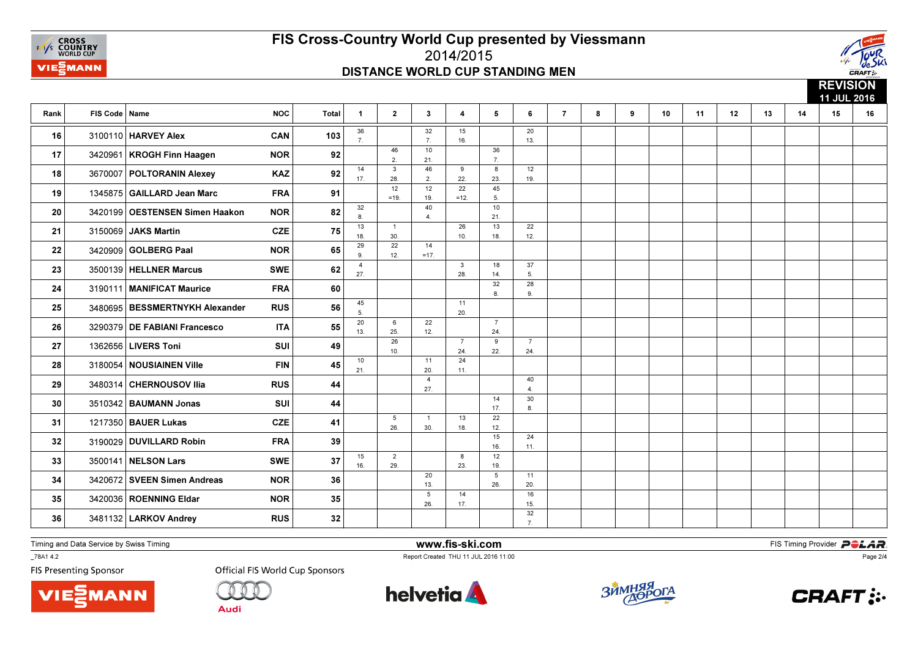



**REVISION**  11 JUL 2016Rank FIS Code Namee NOC | Total | 1 | 2 | 3 | 4 | 5 | 6 | 7 | 8 | 9 | 10 | 11 | 12 | 13 | 14 | 15 | 16 36 7.32 7. 1015 16.2013. **16** 3100110 **HARVEY Alex CAN CAN** 103  $\begin{bmatrix} 7 \\ 7 \end{bmatrix}$  16. 46 2. 21.3617 3420961 KROGH Finn Haagen NOR 92 2 21. 17 3420961 14 17.3 28. $\frac{1}{12}$ 46 2. 129 22.22 8 23. 451219. 18 3670007 POLTORANIN Alexey KAZ 92  $\frac{17}{17}$  28  $\frac{2}{22}$  22  $\frac{23}{23}$  19 =19. 19. $=12.$  $5.$ 19 1345875 GAILLARD Jean Marc FRA 91  $\begin{array}{|c|c|c|c|c|c|}\n\hline\n\text{5.} & & & \text{5.} \\
\hline\n\end{array}$ 19 1345875 32 8. 1340 4.10 $21.$ 20 3420199 OESTENSEN Simen Haakon NOR 82  $\frac{21}{8}$   $\frac{21}{8}$  18.1 30. $\frac{1}{22}$ 26 10.13 18.22 $12.$ 12.<sup>21</sup> <sup>3150069</sup> JAKS Martin CZE <sup>75</sup> 29 9. 4 12.14 $=17.$ **22** 3420909 **GOLBERG Paal NOR 65**  $\begin{bmatrix} 2 \\ 9 \end{bmatrix}$   $\begin{bmatrix} 2 \\ 12 \end{bmatrix}$   $\begin{bmatrix} 1 \\ -17 \end{bmatrix}$  27.3 28.18 14.37 5. **23** 3500139 HELLNER Marcus SWE 62  $\frac{1}{27}$  1  $\frac{1}{28}$   $\frac{1}{28}$   $\frac{1}{28}$   $\frac{1}{28}$   $\frac{1}{28}$   $\frac{1}{28}$   $\frac{1}{28}$   $\frac{1}{28}$   $\frac{1}{28}$   $\frac{1}{28}$   $\frac{1}{28}$   $\frac{1}{28}$   $\frac{1}{28}$   $\frac{1}{28}$   $\frac{1}{28}$   $\frac{1}{28$ 32 8.289. 9.<sup>24</sup> <sup>3190111</sup> MANIFICAT Maurice FRA <sup>60</sup> 45 5.1120. 25 3480695 BESSMERTNYKH Alexander RUS 56  $\frac{1}{5}$  56  $\frac{1}{5}$ 20 13.6 25. 2622 12.724 26 3290379 DE FABIANI Francesco ITA 55  $\frac{2}{13}$   $\frac{1}{25}$   $\frac{1}{25}$   $\frac{1}{12}$   $\frac{1}{24}$  10.7 24.9 22.724. **27** 1362656 LIVERS Toni SUI 49  $\begin{bmatrix} 24 & 22 & 24 \ 22 & 24 & 22 \end{bmatrix}$ 10 21.11 20. 424 $11.$ 28 3180054 NOUSIAINEN Ville FIN 45  $\frac{1}{21}$   $\frac{1}{20}$   $\frac{1}{11}$  27.40 $\overline{4}$ . 29 3480314 CHERNOUSOV Ilia RUS 44 |  $\frac{1}{27}$  |  $\frac{1}{4}$ 29 3480314 CHERNOUSOV IIia RUS RUS 44 14 17.30 $8.$  $\begin{array}{|c|c|c|c|c|}\n \hline\n 30 & 3510342 & \text{BAUMANN Jonas} \\
 \hline\n 6 & 17 & 8\n \end{array}$ 5 26.1 30.13 18.22 $12.$ **31** 1217350 **BAUER Lukas CZE** 41  $\begin{bmatrix} 26 & 30 & 18 \\ 26 & 30 & 18 \end{bmatrix}$ 15 16.24 $11.$  $11.32$  3190029 DUVILLARD Robin FRA 39 | | | |  $^{16}$   $11.32$ 15 16.2 29.8 23.1219. **33** 3500141 **NELSON Lars** SWE 37 **16.**  $\begin{bmatrix} 1 & 29 \ 33 & 29 \end{bmatrix}$   $\begin{bmatrix} 3500141 & 29 \ 19301 & 29 \end{bmatrix}$ 20 13.5 26.1120. 34 3420672 SVEEN Simen Andreas NOR 36 1  $\frac{20}{13}$  1  $\frac{20}{13}$ 5 26.14 17.1615. **35** 3420036 ROENNING Eldar **NOR** 35 36 36 37 32 $\overline{7}$ . 36 3481132 LARKOV Andrey RUS  $32$  | | | |  $\frac{7}{7}$ 

Timing and Data Service by Swiss Timing

\_78A1 4.2

**FIS Presenting Sponsor** 

**VIE***MANN* 

**Official FIS World Cup Sponsors** 

Audi



www.fis-ski.com

Report Created THU 11 JUL 2016 11:00



**m**<br>FIS Timing Provider<br>Is 11:00



Page 2/4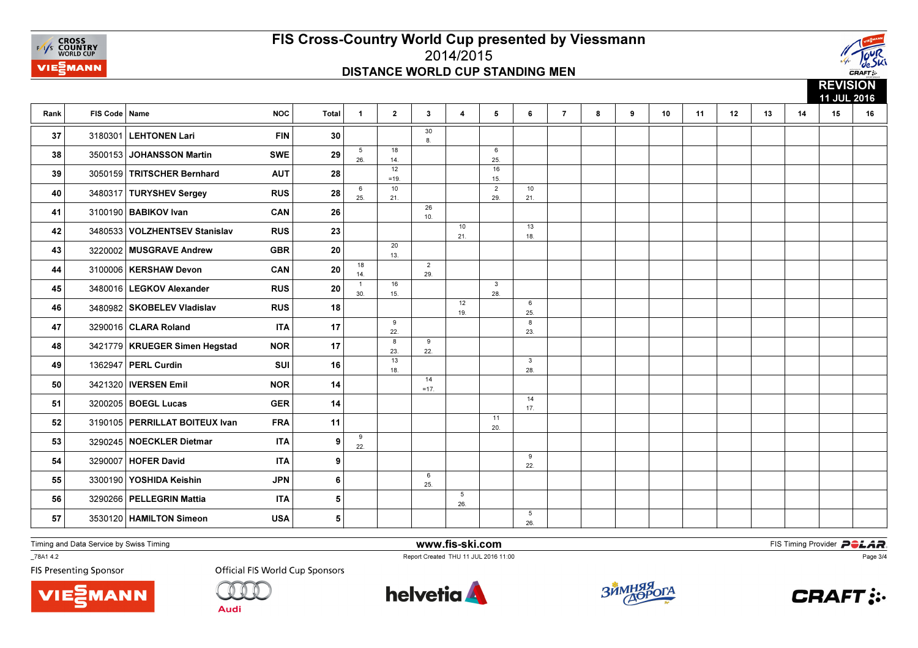



|      |                 |                                  |            |                  |                       |                |                       |                        |                       |                     |                |   |   |    |    |    |    |    | <b>REVISIUN</b><br>11 JUL 2016 |    |  |
|------|-----------------|----------------------------------|------------|------------------|-----------------------|----------------|-----------------------|------------------------|-----------------------|---------------------|----------------|---|---|----|----|----|----|----|--------------------------------|----|--|
| Rank | FIS Code   Name |                                  | <b>NOC</b> | <b>Total</b>     | $\mathbf{1}$          | $\overline{2}$ | $3\phantom{.0}$       | $\overline{4}$         | 5                     | 6                   | $\overline{7}$ | 8 | 9 | 10 | 11 | 12 | 13 | 14 | 15                             | 16 |  |
| 37   | 3180301         | <b>LEHTONEN Lari</b>             | <b>FIN</b> | 30               |                       |                | 30<br>8.              |                        |                       |                     |                |   |   |    |    |    |    |    |                                |    |  |
| 38   |                 | 3500153 JOHANSSON Martin         | <b>SWE</b> | 29               | 5<br>26.              | 18<br>14.      |                       |                        | 6<br>25.              |                     |                |   |   |    |    |    |    |    |                                |    |  |
| 39   |                 | 3050159 TRITSCHER Bernhard       | <b>AUT</b> | 28               |                       | 12<br>$=19.$   |                       |                        | 16<br>15.             |                     |                |   |   |    |    |    |    |    |                                |    |  |
| 40   |                 | 3480317 TURYSHEV Sergey          | <b>RUS</b> | 28               | 6<br>25.              | $10$<br>21.    |                       |                        | $\overline{2}$<br>29. | 10<br>21.           |                |   |   |    |    |    |    |    |                                |    |  |
| 41   |                 | 3100190 BABIKOV Ivan             | <b>CAN</b> | 26               |                       |                | 26<br>10.             |                        |                       |                     |                |   |   |    |    |    |    |    |                                |    |  |
| 42   |                 | 3480533 VOLZHENTSEV Stanislav    | <b>RUS</b> | 23               |                       |                |                       | 10<br>21.              |                       | 13<br>18.           |                |   |   |    |    |    |    |    |                                |    |  |
| 43   |                 | 3220002 MUSGRAVE Andrew          | <b>GBR</b> | 20               |                       | 20<br>13.      |                       |                        |                       |                     |                |   |   |    |    |    |    |    |                                |    |  |
| 44   |                 | 3100006   KERSHAW Devon          | CAN        | 20               | 18<br>14.             |                | $\overline{2}$<br>29. |                        |                       |                     |                |   |   |    |    |    |    |    |                                |    |  |
| 45   |                 | 3480016   LEGKOV Alexander       | <b>RUS</b> | 20               | $\overline{1}$<br>30. | 16<br>15.      |                       |                        | $\mathbf{3}$<br>28.   |                     |                |   |   |    |    |    |    |    |                                |    |  |
| 46   |                 | 3480982 SKOBELEV Vladislav       | <b>RUS</b> | 18               |                       |                |                       | 12<br>19.              |                       | 6<br>25.            |                |   |   |    |    |    |    |    |                                |    |  |
| 47   |                 | 3290016 CLARA Roland             | <b>ITA</b> | 17               |                       | 9<br>22.       |                       |                        |                       | 8<br>23.            |                |   |   |    |    |    |    |    |                                |    |  |
| 48   |                 | 3421779   KRUEGER Simen Hegstad  | <b>NOR</b> | 17               |                       | 8<br>23.       | 9<br>22.              |                        |                       |                     |                |   |   |    |    |    |    |    |                                |    |  |
| 49   |                 | 1362947   PERL Curdin            | <b>SUI</b> | 16               |                       | 13<br>18.      |                       |                        |                       | $\mathbf{3}$<br>28. |                |   |   |    |    |    |    |    |                                |    |  |
| 50   |                 | 3421320   IVERSEN Emil           | <b>NOR</b> | 14               |                       |                | 14<br>$=17.$          |                        |                       |                     |                |   |   |    |    |    |    |    |                                |    |  |
| 51   |                 | 3200205   BOEGL Lucas            | <b>GER</b> | 14               |                       |                |                       |                        |                       | 14<br>17.           |                |   |   |    |    |    |    |    |                                |    |  |
| 52   |                 | 3190105   PERRILLAT BOITEUX Ivan | <b>FRA</b> | 11               |                       |                |                       |                        | 11<br>20.             |                     |                |   |   |    |    |    |    |    |                                |    |  |
| 53   |                 | 3290245 NOECKLER Dietmar         | <b>ITA</b> | 9                | 9<br>22.              |                |                       |                        |                       |                     |                |   |   |    |    |    |    |    |                                |    |  |
| 54   |                 | 3290007   HOFER David            | <b>ITA</b> | $\boldsymbol{9}$ |                       |                |                       |                        |                       | 9<br>22.            |                |   |   |    |    |    |    |    |                                |    |  |
| 55   |                 | 3300190 YOSHIDA Keishin          | <b>JPN</b> | 6                |                       |                | 6<br>25.              |                        |                       |                     |                |   |   |    |    |    |    |    |                                |    |  |
| 56   |                 | 3290266 PELLEGRIN Mattia         | <b>ITA</b> | 5                |                       |                |                       | $5\phantom{.0}$<br>26. |                       |                     |                |   |   |    |    |    |    |    |                                |    |  |
| 57   |                 | 3530120   HAMILTON Simeon        | <b>USA</b> | 5                |                       |                |                       |                        |                       | 5<br>26.            |                |   |   |    |    |    |    |    |                                |    |  |

Timing and Data Service by Swiss Timing

\_78A1 4.2



 www.fis-ski.comReport Created THU 11 JUL 2016 11:00

**m**<br>FIS Timing Provider<br>Is 11:00

**FIS Presenting Sponsor** 





**Audi** 







Page 3/4